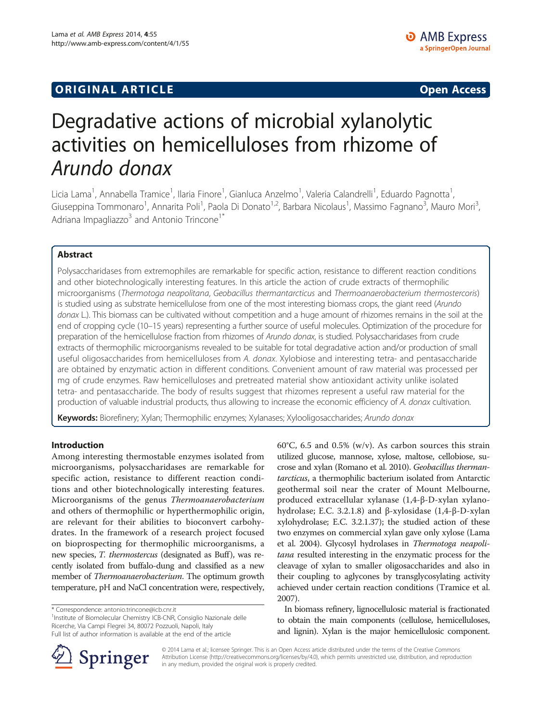## **ORIGINAL ARTICLE CONSUMING A LIGACION** CONSUMING A LIGACION CONSUMING A LIGACION CONSUMING A LIGACION CONSUMING A LIGACION CONSUMING A LIGACION CONSUMING A LIGACION CONSUMING A LIGACION CONSUMING A LIGACION CONSUMING A

# Degradative actions of microbial xylanolytic activities on hemicelluloses from rhizome of Arundo donax

Licia Lama<sup>1</sup>, Annabella Tramice<sup>1</sup>, Ilaria Finore<sup>1</sup>, Gianluca Anzelmo<sup>1</sup>, Valeria Calandrelli<sup>1</sup>, Eduardo Pagnotta<sup>1</sup> , Giuseppina Tommonaro<sup>1</sup>, Annarita Poli<sup>1</sup>, Paola Di Donato<sup>1,2</sup>, Barbara Nicolaus<sup>1</sup>, Massimo Fagnano<sup>3</sup>, Mauro Mori<sup>3</sup> , Adriana Impagliazzo $3$  and Antonio Trincone<sup>1\*</sup>

## Abstract

Polysaccharidases from extremophiles are remarkable for specific action, resistance to different reaction conditions and other biotechnologically interesting features. In this article the action of crude extracts of thermophilic microorganisms (Thermotoga neapolitana, Geobacillus thermantarcticus and Thermoanaerobacterium thermostercoris) is studied using as substrate hemicellulose from one of the most interesting biomass crops, the giant reed (Arundo donax L.). This biomass can be cultivated without competition and a huge amount of rhizomes remains in the soil at the end of cropping cycle (10–15 years) representing a further source of useful molecules. Optimization of the procedure for preparation of the hemicellulose fraction from rhizomes of Arundo donax, is studied. Polysaccharidases from crude extracts of thermophilic microorganisms revealed to be suitable for total degradative action and/or production of small useful oligosaccharides from hemicelluloses from A. donax. Xylobiose and interesting tetra- and pentasaccharide are obtained by enzymatic action in different conditions. Convenient amount of raw material was processed per mg of crude enzymes. Raw hemicelluloses and pretreated material show antioxidant activity unlike isolated tetra- and pentasaccharide. The body of results suggest that rhizomes represent a useful raw material for the production of valuable industrial products, thus allowing to increase the economic efficiency of A. donax cultivation.

Keywords: Biorefinery; Xylan; Thermophilic enzymes; Xylanases; Xylooligosaccharides; Arundo donax

## Introduction

Among interesting thermostable enzymes isolated from microorganisms, polysaccharidases are remarkable for specific action, resistance to different reaction conditions and other biotechnologically interesting features. Microorganisms of the genus Thermoanaerobacterium and others of thermophilic or hyperthermophilic origin, are relevant for their abilities to bioconvert carbohydrates. In the framework of a research project focused on bioprospecting for thermophilic microorganisms, a new species, T. thermostercus (designated as Buff), was recently isolated from buffalo-dung and classified as a new member of *Thermoanaerobacterium*. The optimum growth temperature, pH and NaCl concentration were, respectively,

<sup>1</sup>Institute of Biomolecular Chemistry ICB-CNR, Consiglio Nazionale delle Ricerche, Via Campi Flegrei 34, 80072 Pozzuoli, Napoli, Italy Full list of author information is available at the end of the article

60°C, 6.5 and 0.5% (w/v). As carbon sources this strain utilized glucose, mannose, xylose, maltose, cellobiose, sucrose and xylan (Romano et al. [2010\)](#page-8-0). Geobacillus thermantarcticus, a thermophilic bacterium isolated from Antarctic geothermal soil near the crater of Mount Melbourne, produced extracellular xylanase (1,4-β-D-xylan xylanohydrolase; E.C. 3.2.1.8) and β-xylosidase (1,4-β-D-xylan xylohydrolase; E.C. 3.2.1.37); the studied action of these two enzymes on commercial xylan gave only xylose (Lama et al. [2004\)](#page-8-0). Glycosyl hydrolases in Thermotoga neapolitana resulted interesting in the enzymatic process for the cleavage of xylan to smaller oligosaccharides and also in their coupling to aglycones by transglycosylating activity achieved under certain reaction conditions (Tramice et al. [2007\)](#page-8-0).

In biomass refinery, lignocellulosic material is fractionated to obtain the main components (cellulose, hemicelluloses, and lignin). Xylan is the major hemicellulosic component.



© 2014 Lama et al.; licensee Springer. This is an Open Access article distributed under the terms of the Creative Commons Attribution License (http://creativecommons.org/licenses/by/4.0), which permits unrestricted use, distribution, and reproduction in any medium, provided the original work is properly credited.

<sup>\*</sup> Correspondence: [antonio.trincone@icb.cnr.it](mailto:antonio.trincone@icb.cnr.it) <sup>1</sup>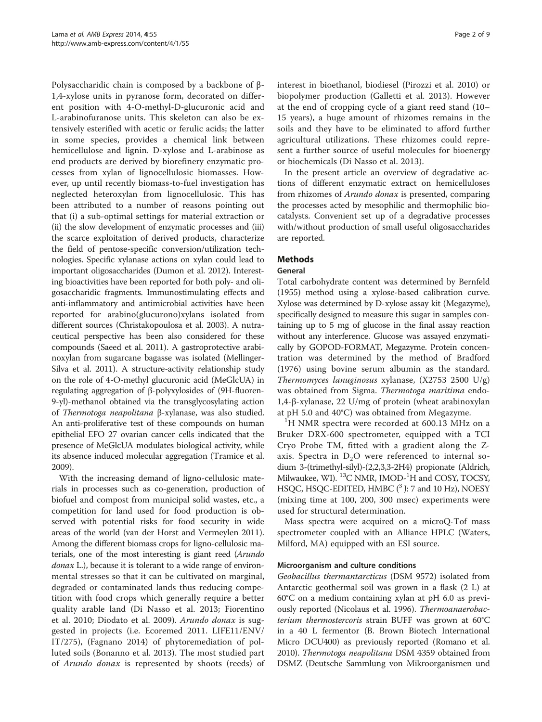<span id="page-1-0"></span>Polysaccharidic chain is composed by a backbone of β-1,4-xylose units in pyranose form, decorated on different position with 4-O-methyl-D-glucuronic acid and L-arabinofuranose units. This skeleton can also be extensively esterified with acetic or ferulic acids; the latter in some species, provides a chemical link between hemicellulose and lignin. D-xylose and L-arabinose as end products are derived by biorefinery enzymatic processes from xylan of lignocellulosic biomasses. However, up until recently biomass-to-fuel investigation has neglected heteroxylan from lignocellulosic. This has been attributed to a number of reasons pointing out that (i) a sub-optimal settings for material extraction or (ii) the slow development of enzymatic processes and (iii) the scarce exploitation of derived products, characterize the field of pentose-specific conversion/utilization technologies. Specific xylanase actions on xylan could lead to important oligosaccharides (Dumon et al. [2012](#page-8-0)). Interesting bioactivities have been reported for both poly- and oligosaccharidic fragments. Immunostimulating effects and anti-inflammatory and antimicrobial activities have been reported for arabino(glucurono)xylans isolated from different sources (Christakopoulosa et al. [2003](#page-7-0)). A nutraceutical perspective has been also considered for these compounds (Saeed et al. [2011\)](#page-8-0). A gastroprotective arabinoxylan from sugarcane bagasse was isolated (Mellinger-Silva et al. [2011](#page-8-0)). A structure-activity relationship study on the role of 4-O-methyl glucuronic acid (MeGlcUA) in regulating aggregation of β-polyxylosides of (9H-fluoren-9-yl)-methanol obtained via the transglycosylating action of Thermotoga neapolitana β-xylanase, was also studied. An anti-proliferative test of these compounds on human epithelial EFO 27 ovarian cancer cells indicated that the presence of MeGlcUA modulates biological activity, while its absence induced molecular aggregation (Tramice et al. [2009\)](#page-8-0).

With the increasing demand of ligno-cellulosic materials in processes such as co-generation, production of biofuel and compost from municipal solid wastes, etc., a competition for land used for food production is observed with potential risks for food security in wide areas of the world (van der Horst and Vermeylen [2011](#page-8-0)). Among the different biomass crops for ligno-cellulosic materials, one of the most interesting is giant reed (Arundo donax L.), because it is tolerant to a wide range of environmental stresses so that it can be cultivated on marginal, degraded or contaminated lands thus reducing competition with food crops which generally require a better quality arable land (Di Nasso et al. [2013;](#page-8-0) Fiorentino et al. [2010](#page-8-0); Diodato et al. [2009\)](#page-8-0). Arundo donax is suggested in projects (i.e. Ecoremed 2011. LIFE11/ENV/ IT/275), (Fagnano [2014\)](#page-8-0) of phytoremediation of polluted soils (Bonanno et al. [2013\)](#page-7-0). The most studied part of Arundo donax is represented by shoots (reeds) of interest in bioethanol, biodiesel (Pirozzi et al. [2010\)](#page-8-0) or biopolymer production (Galletti et al. [2013](#page-8-0)). However at the end of cropping cycle of a giant reed stand (10– 15 years), a huge amount of rhizomes remains in the soils and they have to be eliminated to afford further agricultural utilizations. These rhizomes could represent a further source of useful molecules for bioenergy or biochemicals (Di Nasso et al. [2013\)](#page-8-0).

In the present article an overview of degradative actions of different enzymatic extract on hemicelluloses from rhizomes of *Arundo donax* is presented, comparing the processes acted by mesophilic and thermophilic biocatalysts. Convenient set up of a degradative processes with/without production of small useful oligosaccharides are reported.

## Methods

#### General

Total carbohydrate content was determined by Bernfeld ([1955\)](#page-7-0) method using a xylose-based calibration curve. Xylose was determined by D-xylose assay kit (Megazyme), specifically designed to measure this sugar in samples containing up to 5 mg of glucose in the final assay reaction without any interference. Glucose was assayed enzymatically by GOPOD-FORMAT, Megazyme. Protein concentration was determined by the method of Bradford ([1976\)](#page-7-0) using bovine serum albumin as the standard. Thermomyces lanuginosus xylanase, (X2753 2500 U/g) was obtained from Sigma. Thermotoga maritima endo-1,4-β-xylanase, 22 U/mg of protein (wheat arabinoxylan at pH 5.0 and  $40^{\circ}$ C) was obtained from Megazyme.

<sup>1</sup>H NMR spectra were recorded at 600.13 MHz on a Bruker DRX-600 spectrometer, equipped with a TCI Cryo Probe TM, fitted with a gradient along the Zaxis. Spectra in  $D_2O$  were referenced to internal sodium 3-(trimethyl-silyl)-(2,2,3,3-2H4) propionate (Aldrich, Milwaukee, WI). <sup>13</sup>C NMR, JMOD-<sup>1</sup>H and COSY, TOCSY, HSQC, HSQC-EDITED, HMBC  $(^3$  J: 7 and 10 Hz), NOESY (mixing time at 100, 200, 300 msec) experiments were used for structural determination.

Mass spectra were acquired on a microQ-Tof mass spectrometer coupled with an Alliance HPLC (Waters, Milford, MA) equipped with an ESI source.

#### Microorganism and culture conditions

Geobacillus thermantarcticus (DSM 9572) isolated from Antarctic geothermal soil was grown in a flask (2 L) at 60°C on a medium containing xylan at pH 6.0 as previously reported (Nicolaus et al. [1996](#page-8-0)). Thermoanaerobacterium thermostercoris strain BUFF was grown at 60°C in a 40 L fermentor (B. Brown Biotech International Micro DCU400) as previously reported (Romano et al. [2010](#page-8-0)). Thermotoga neapolitana DSM 4359 obtained from DSMZ (Deutsche Sammlung von Mikroorganismen und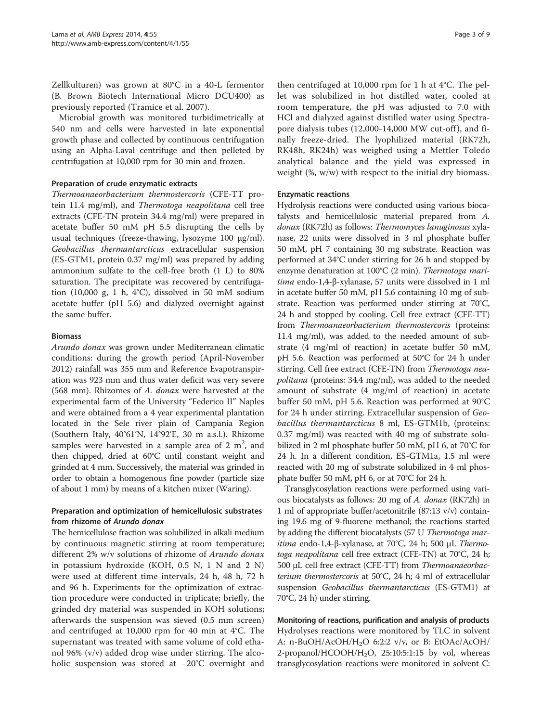Zellkulturen) was grown at 80°C in a 40-L fermentor (B. Brown Biotech International Micro DCU400) as previously reported (Tramice et al. [2007\)](#page-8-0).

Microbial growth was monitored turbidimetrically at 540 nm and cells were harvested in late exponential growth phase and collected by continuous centrifugation using an Alpha-Laval centrifuge and then pelleted by centrifugation at 10,000 rpm for 30 min and frozen.

#### Preparation of crude enzymatic extracts

Thermoanaeorbacterium thermostercoris (CFE-TT protein 11.4 mg/ml), and Thermotoga neapolitana cell free extracts (CFE-TN protein 34.4 mg/ml) were prepared in acetate buffer 50 mM pH 5.5 disrupting the cells by usual techniques (freeze-thawing, lysozyme 100 μg/ml). Geobacillus thermantarcticus extracellular suspension (ES-GTM1, protein 0.37 mg/ml) was prepared by adding ammonium sulfate to the cell-free broth (1 L) to 80% saturation. The precipitate was recovered by centrifugation (10,000 g, 1 h, 4°C), dissolved in 50 mM sodium acetate buffer (pH 5.6) and dialyzed overnight against the same buffer.

#### Biomass

Arundo donax was grown under Mediterranean climatic conditions: during the growth period (April-November 2012) rainfall was 355 mm and Reference Evapotranspiration was 923 mm and thus water deficit was very severe (568 mm). Rhizomes of A. donax were harvested at the experimental farm of the University "Federico II" Naples and were obtained from a 4 year experimental plantation located in the Sele river plain of Campania Region (Southern Italy, 40°61'N, 14°92'E, 30 m a.s.l.). Rhizome samples were harvested in a sample area of  $2 \text{ m}^2$ , and then chipped, dried at 60°C until constant weight and grinded at 4 mm. Successively, the material was grinded in order to obtain a homogenous fine powder (particle size of about 1 mm) by means of a kitchen mixer (Waring).

## Preparation and optimization of hemicellulosic substrates from rhizome of Arundo donax

The hemicellulose fraction was solubilized in alkali medium by continuous magnetic stirring at room temperature; different 2% w/v solutions of rhizome of *Arundo donax* in potassium hydroxide (KOH, 0.5 N, 1 N and 2 N) were used at different time intervals, 24 h, 48 h, 72 h and 96 h. Experiments for the optimization of extraction procedure were conducted in triplicate; briefly, the grinded dry material was suspended in KOH solutions; afterwards the suspension was sieved (0.5 mm screen) and centrifuged at 10,000 rpm for 40 min at 4°C. The supernatant was treated with same volume of cold ethanol 96% (v/v) added drop wise under stirring. The alcoholic suspension was stored at −20°C overnight and

then centrifuged at 10,000 rpm for 1 h at 4°C. The pellet was solubilized in hot distilled water, cooled at room temperature, the pH was adjusted to 7.0 with HCl and dialyzed against distilled water using Spectrapore dialysis tubes (12,000-14,000 MW cut-off), and finally freeze-dried. The lyophilized material (RK72h, RK48h, RK24h) was weighed using a Mettler Toledo analytical balance and the yield was expressed in weight  $(\%$ ,  $w/w)$  with respect to the initial dry biomass.

#### Enzymatic reactions

Hydrolysis reactions were conducted using various biocatalysts and hemicellulosic material prepared from A. donax (RK72h) as follows: Thermomyces lanuginosus xylanase, 22 units were dissolved in 3 ml phosphate buffer 50 mM, pH 7 containing 30 mg substrate. Reaction was performed at 34°C under stirring for 26 h and stopped by enzyme denaturation at 100°C (2 min). Thermotoga maritima endo-1,4-β-xylanase, 57 units were dissolved in 1 ml in acetate buffer 50 mM, pH 5.6 containing 10 mg of substrate. Reaction was performed under stirring at 70°C, 24 h and stopped by cooling. Cell free extract (CFE-TT) from Thermoanaeorbacterium thermostercoris (proteins: 11.4 mg/ml), was added to the needed amount of substrate (4 mg/ml of reaction) in acetate buffer 50 mM, pH 5.6. Reaction was performed at 50°C for 24 h under stirring. Cell free extract (CFE-TN) from Thermotoga neapolitana (proteins: 34.4 mg/ml), was added to the needed amount of substrate (4 mg/ml of reaction) in acetate buffer 50 mM, pH 5.6. Reaction was performed at 90°C for 24 h under stirring. Extracellular suspension of Geobacillus thermantarcticus 8 ml, ES-GTM1b, (proteins: 0.37 mg/ml) was reacted with 40 mg of substrate solubilized in 2 ml phosphate buffer 50 mM, pH 6, at 70°C for 24 h. In a different condition, ES-GTM1a, 1.5 ml were reacted with 20 mg of substrate solubilized in 4 ml phosphate buffer 50 mM, pH 6, or at 70°C for 24 h.

Transglycosylation reactions were performed using various biocatalysts as follows: 20 mg of A. donax (RK72h) in 1 ml of appropriate buffer/acetonitrile (87:13 v/v) containing 19.6 mg of 9-fluorene methanol; the reactions started by adding the different biocatalysts (57 U Thermotoga mar*itima* endo-1,4-β-xylanase, at 70°C, 24 h; 500 μL *Thermo*toga neapolitana cell free extract (CFE-TN) at 70°C, 24 h; 500 μL cell free extract (CFE-TT) from Thermoanaeorbacterium thermostercoris at 50°C, 24 h; 4 ml of extracellular suspension Geobacillus thermantarcticus (ES-GTM1) at 70°C, 24 h) under stirring.

Monitoring of reactions, purification and analysis of products Hydrolyses reactions were monitored by TLC in solvent A: n-BuOH/AcOH/H<sub>2</sub>O 6:2:2 v/v, or B: EtOAc/AcOH/ 2-propanol/HCOOH/ $H_2O$ , 25:10:5:1:15 by vol, whereas transglycosylation reactions were monitored in solvent C: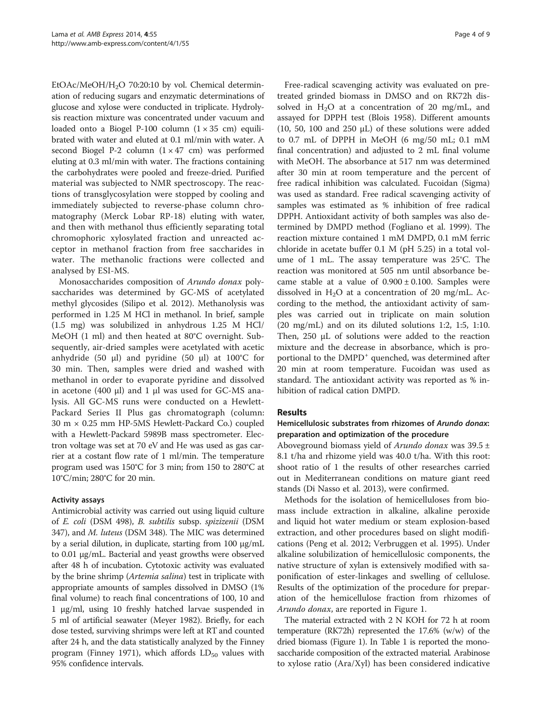EtOAc/MeOH/H<sub>2</sub>O 70:20:10 by vol. Chemical determination of reducing sugars and enzymatic determinations of glucose and xylose were conducted in triplicate. Hydrolysis reaction mixture was concentrated under vacuum and loaded onto a Biogel P-100 column  $(1 \times 35$  cm) equilibrated with water and eluted at 0.1 ml/min with water. A second Biogel P-2 column  $(1 \times 47$  cm) was performed eluting at 0.3 ml/min with water. The fractions containing the carbohydrates were pooled and freeze-dried. Purified material was subjected to NMR spectroscopy. The reactions of transglycosylation were stopped by cooling and immediately subjected to reverse-phase column chromatography (Merck Lobar RP-18) eluting with water, and then with methanol thus efficiently separating total chromophoric xylosylated fraction and unreacted acceptor in methanol fraction from free saccharides in water. The methanolic fractions were collected and analysed by ESI-MS.

Monosaccharides composition of Arundo donax polysaccharides was determined by GC-MS of acetylated methyl glycosides (Silipo et al. [2012](#page-8-0)). Methanolysis was performed in 1.25 M HCl in methanol. In brief, sample (1.5 mg) was solubilized in anhydrous 1.25 M HCl/ MeOH (1 ml) and then heated at 80°C overnight. Subsequently, air-dried samples were acetylated with acetic anhydride (50 μl) and pyridine (50 μl) at  $100^{\circ}$ C for 30 min. Then, samples were dried and washed with methanol in order to evaporate pyridine and dissolved in acetone (400 μl) and 1 μl was used for GC-MS analysis. All GC-MS runs were conducted on a Hewlett-Packard Series II Plus gas chromatograph (column: 30 m × 0.25 mm HP-5MS Hewlett-Packard Co.) coupled with a Hewlett-Packard 5989B mass spectrometer. Electron voltage was set at 70 eV and He was used as gas carrier at a costant flow rate of 1 ml/min. The temperature program used was 150°C for 3 min; from 150 to 280°C at 10°C/min; 280°C for 20 min.

## Activity assays

Antimicrobial activity was carried out using liquid culture of E. coli (DSM 498), B. subtilis subsp. spizizenii (DSM 347), and M. luteus (DSM 348). The MIC was determined by a serial dilution, in duplicate, starting from 100 μg/mL to 0.01 μg/mL. Bacterial and yeast growths were observed after 48 h of incubation. Cytotoxic activity was evaluated by the brine shrimp (*Artemia salina*) test in triplicate with appropriate amounts of samples dissolved in DMSO (1% final volume) to reach final concentrations of 100, 10 and 1 μg/ml, using 10 freshly hatched larvae suspended in 5 ml of artificial seawater (Meyer [1982\)](#page-8-0). Briefly, for each dose tested, surviving shrimps were left at RT and counted after 24 h, and the data statistically analyzed by the Finney program (Finney [1971](#page-8-0)), which affords  $LD_{50}$  values with 95% confidence intervals.

Free-radical scavenging activity was evaluated on pretreated grinded biomass in DMSO and on RK72h dissolved in  $H_2O$  at a concentration of 20 mg/mL, and assayed for DPPH test (Blois [1958](#page-7-0)). Different amounts (10, 50, 100 and 250  $\mu$ L) of these solutions were added to 0.7 mL of DPPH in MeOH (6 mg/50 mL; 0.1 mM final concentration) and adjusted to 2 mL final volume with MeOH. The absorbance at 517 nm was determined after 30 min at room temperature and the percent of free radical inhibition was calculated. Fucoidan (Sigma) was used as standard. Free radical scavenging activity of samples was estimated as % inhibition of free radical DPPH. Antioxidant activity of both samples was also determined by DMPD method (Fogliano et al. [1999](#page-8-0)). The reaction mixture contained 1 mM DMPD, 0.1 mM ferric chloride in acetate buffer 0.1 M (pH 5.25) in a total volume of 1 mL. The assay temperature was 25°C. The reaction was monitored at 505 nm until absorbance became stable at a value of  $0.900 \pm 0.100$ . Samples were dissolved in  $H_2O$  at a concentration of 20 mg/mL. According to the method, the antioxidant activity of samples was carried out in triplicate on main solution (20 mg/mL) and on its diluted solutions 1:2, 1:5, 1:10. Then, 250 μL of solutions were added to the reaction mixture and the decrease in absorbance, which is proportional to the DMPD<sup>+</sup> quenched, was determined after 20 min at room temperature. Fucoidan was used as standard. The antioxidant activity was reported as % inhibition of radical cation DMPD.

## Results

## Hemicellulosic substrates from rhizomes of Arundo donax: preparation and optimization of the procedure

Aboveground biomass yield of *Arundo donax* was  $39.5 \pm$ 8.1 t/ha and rhizome yield was 40.0 t/ha. With this root: shoot ratio of 1 the results of other researches carried out in Mediterranean conditions on mature giant reed stands (Di Nasso et al. [2013](#page-8-0)), were confirmed.

Methods for the isolation of hemicelluloses from biomass include extraction in alkaline, alkaline peroxide and liquid hot water medium or steam explosion-based extraction, and other procedures based on slight modifications (Peng et al. [2012](#page-8-0); Verbruggen et al. [1995](#page-8-0)). Under alkaline solubilization of hemicellulosic components, the native structure of xylan is extensively modified with saponification of ester-linkages and swelling of cellulose. Results of the optimization of the procedure for preparation of the hemicellulose fraction from rhizomes of Arundo donax, are reported in Figure [1.](#page-4-0)

The material extracted with 2 N KOH for 72 h at room temperature (RK72h) represented the 17.6% (w/w) of the dried biomass (Figure [1](#page-4-0)). In Table [1](#page-4-0) is reported the monosaccharide composition of the extracted material. Arabinose to xylose ratio (Ara/Xyl) has been considered indicative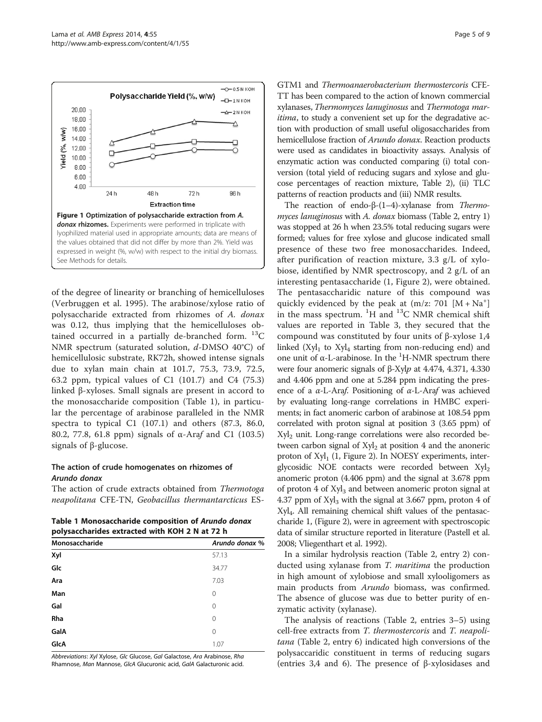<span id="page-4-0"></span>

of the degree of linearity or branching of hemicelluloses (Verbruggen et al. [1995](#page-8-0)). The arabinose/xylose ratio of polysaccharide extracted from rhizomes of A. donax was 0.12, thus implying that the hemicelluloses obtained occurred in a partially de-branched form.  $^{13}C$ NMR spectrum (saturated solution, d-DMSO 40°C) of hemicellulosic substrate, RK72h, showed intense signals due to xylan main chain at 101.7, 75.3, 73.9, 72.5, 63.2 ppm, typical values of C1 (101.7) and C4 (75.3) linked β-xyloses. Small signals are present in accord to the monosaccharide composition (Table 1), in particular the percentage of arabinose paralleled in the NMR spectra to typical C1 (107.1) and others (87.3, 86.0, 80.2, 77.8, 61.8 ppm) signals of α-Araf and C1 (103.5) signals of β-glucose.

## The action of crude homogenates on rhizomes of Arundo donax

The action of crude extracts obtained from Thermotoga neapolitana CFE-TN, Geobacillus thermantarcticus ES-

Table 1 Monosaccharide composition of Arundo donax polysaccharides extracted with KOH 2 N at 72 h

| $\mu$ or following the compared with $\mu$ of $\mu$ at $\mu$ = $\mu$ |  |  |  |  |  |  |
|----------------------------------------------------------------------|--|--|--|--|--|--|
| Arundo donax %                                                       |  |  |  |  |  |  |
| 57.13                                                                |  |  |  |  |  |  |
| 34.77                                                                |  |  |  |  |  |  |
| 7.03                                                                 |  |  |  |  |  |  |
| 0                                                                    |  |  |  |  |  |  |
| 0                                                                    |  |  |  |  |  |  |
| 0                                                                    |  |  |  |  |  |  |
| 0                                                                    |  |  |  |  |  |  |
| 1.07                                                                 |  |  |  |  |  |  |
|                                                                      |  |  |  |  |  |  |

Abbreviations: Xyl Xylose, Glc Glucose, Gal Galactose, Ara Arabinose, Rha Rhamnose, Man Mannose, GlcA Glucuronic acid, GalA Galacturonic acid.

GTM1 and Thermoanaerobacterium thermostercoris CFE-TT has been compared to the action of known commercial xylanases, Thermomyces lanuginosus and Thermotoga maritima, to study a convenient set up for the degradative action with production of small useful oligosaccharides from hemicellulose fraction of *Arundo donax*. Reaction products were used as candidates in bioactivity assays. Analysis of enzymatic action was conducted comparing (i) total conversion (total yield of reducing sugars and xylose and glucose percentages of reaction mixture, Table [2\)](#page-5-0), (ii) TLC patterns of reaction products and (iii) NMR results.

The reaction of endo-β-(1–4)-xylanase from Thermo-myces lanuginosus with A. donax biomass (Table [2](#page-5-0), entry 1) was stopped at 26 h when 23.5% total reducing sugars were formed; values for free xylose and glucose indicated small presence of these two free monosaccharides. Indeed, after purification of reaction mixture, 3.3 g/L of xylobiose, identified by NMR spectroscopy, and 2 g/L of an interesting pentasaccharide (1, Figure [2](#page-5-0)), were obtained. The pentasaccharidic nature of this compound was quickly evidenced by the peak at  $(m/z: 701 [M + Na<sup>+</sup>]$ in the mass spectrum.  ${}^{1}H$  and  ${}^{13}C$  NMR chemical shift values are reported in Table [3](#page-6-0), they secured that the compound was constituted by four units of β-xylose 1,4 linked  $(Xyl_1$  to  $Xyl_4$  starting from non-reducing end) and one unit of α-L-arabinose. In the <sup>1</sup>H-NMR spectrum there were four anomeric signals of β-Xylp at 4.474, 4.371, 4.330 and 4.406 ppm and one at 5.284 ppm indicating the presence of a  $\alpha$ -L-Araf. Positioning of  $\alpha$ -L-Araf was achieved by evaluating long-range correlations in HMBC experiments; in fact anomeric carbon of arabinose at 108.54 ppm correlated with proton signal at position 3 (3.65 ppm) of  $Xyl<sub>2</sub>$  unit. Long-range correlations were also recorded between carbon signal of  $Xyl<sub>2</sub>$  at position 4 and the anoneric proton of  $Xyl_1$  (1, Figure [2\)](#page-5-0). In NOESY experiments, interglycosidic NOE contacts were recorded between  $Xyl_2$ anomeric proton (4.406 ppm) and the signal at 3.678 ppm of proton 4 of  $Xyl_3$  and between anomeric proton signal at 4.37 ppm of  $Xyl_3$  with the signal at 3.667 ppm, proton 4 of Xyl4. All remaining chemical shift values of the pentasaccharide 1, (Figure [2](#page-5-0)), were in agreement with spectroscopic data of similar structure reported in literature (Pastell et al. [2008;](#page-8-0) Vliegenthart et al. [1992\)](#page-8-0).

In a similar hydrolysis reaction (Table [2](#page-5-0), entry 2) conducted using xylanase from T. maritima the production in high amount of xylobiose and small xylooligomers as main products from Arundo biomass, was confirmed. The absence of glucose was due to better purity of enzymatic activity (xylanase).

The analysis of reactions (Table [2,](#page-5-0) entries 3–5) using cell-free extracts from T. thermostercoris and T. neapolitana (Table [2](#page-5-0), entry 6) indicated high conversions of the polysaccaridic constituent in terms of reducing sugars (entries 3,4 and 6). The presence of β-xylosidases and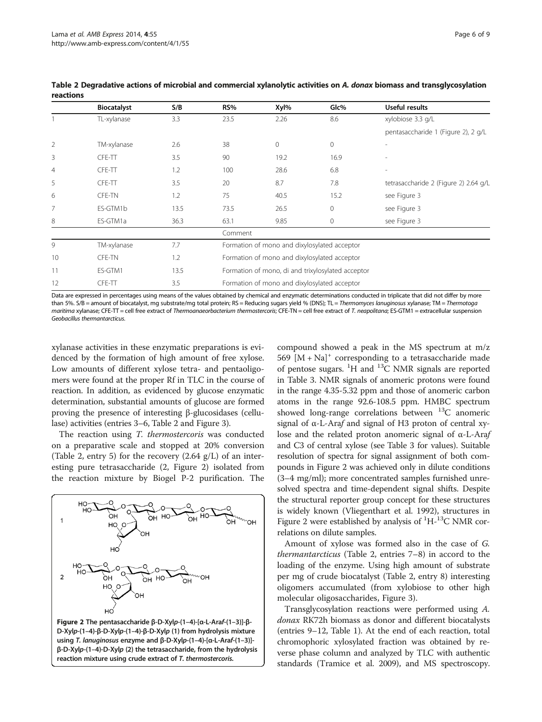|                | <b>Biocatalyst</b> | S/B  | RS%                                               | Xyl%                                                                                                                                                                                                                              | Glc%         | Useful results                        |  |  |  |
|----------------|--------------------|------|---------------------------------------------------|-----------------------------------------------------------------------------------------------------------------------------------------------------------------------------------------------------------------------------------|--------------|---------------------------------------|--|--|--|
|                | TL-xylanase        | 3.3  | 23.5                                              | 2.26                                                                                                                                                                                                                              | 8.6          | xylobiose 3.3 g/L                     |  |  |  |
|                |                    |      |                                                   |                                                                                                                                                                                                                                   |              | pentasaccharide 1 (Figure 2), 2 g/L   |  |  |  |
| $\overline{2}$ | TM-xylanase        | 2.6  | 38                                                | 0                                                                                                                                                                                                                                 | $\mathbf{0}$ |                                       |  |  |  |
| 3              | CFE-TT             | 3.5  | 90                                                | 19.2                                                                                                                                                                                                                              | 16.9         |                                       |  |  |  |
| $\overline{4}$ | CFE-TT             | 1.2  | 100                                               | 28.6                                                                                                                                                                                                                              | 6.8          |                                       |  |  |  |
| 5              | CFE-TT             | 3.5  | 20                                                | 8.7                                                                                                                                                                                                                               | 7.8          | tetrasaccharide 2 (Figure 2) 2.64 g/L |  |  |  |
| 6              | <b>CFE-TN</b>      | 1.2  | 75                                                | 40.5                                                                                                                                                                                                                              | 15.2         | see Figure 3                          |  |  |  |
| 7              | ES-GTM1b           | 13.5 | 73.5                                              | 26.5                                                                                                                                                                                                                              | $\mathbf{0}$ | see Figure 3                          |  |  |  |
| 8              | ES-GTM1a           | 36.3 | 63.1                                              | 9.85                                                                                                                                                                                                                              | $\mathbf{0}$ | see Figure 3                          |  |  |  |
|                |                    |      | Comment                                           |                                                                                                                                                                                                                                   |              |                                       |  |  |  |
| 9              | TM-xylanase        | 7.7  | Formation of mono and dixylosylated acceptor      |                                                                                                                                                                                                                                   |              |                                       |  |  |  |
| 10             | <b>CFE-TN</b>      | 1.2  | Formation of mono and dixylosylated acceptor      |                                                                                                                                                                                                                                   |              |                                       |  |  |  |
| 11             | ES-GTM1            | 13.5 | Formation of mono, di and trixylosylated acceptor |                                                                                                                                                                                                                                   |              |                                       |  |  |  |
| 12             | CFE-TT             | 3.5  | Formation of mono and dixylosylated acceptor      |                                                                                                                                                                                                                                   |              |                                       |  |  |  |
|                |                    |      |                                                   | $\mathbf{r}$ . The contract of the contract of the contract of the contract of the contract of the contract of the contract of the contract of the contract of the contract of the contract of the contract of the contract of th |              | $\sim$ $\sim$ $\sim$<br>$\cdots$      |  |  |  |

<span id="page-5-0"></span>Table 2 Degradative actions of microbial and commercial xylanolytic activities on A. donax biomass and transglycosylation reactions

Data are expressed in percentages using means of the values obtained by chemical and enzymatic determinations conducted in triplicate that did not differ by more than 5%. S/B = amount of biocatalyst, mg substrate/mg total protein; RS = Reducing sugars yield % (DNS); TL = Thermomyces lanuginosus xylanase; TM = Thermotoga maritima xylanase; CFE-TT = cell free extract of Thermoanaeorbacterium thermostercoris; CFE-TN = cell free extract of T. neapolitana; ES-GTM1 = extracellular suspension Geobacillus thermantarcticus.

xylanase activities in these enzymatic preparations is evidenced by the formation of high amount of free xylose. Low amounts of different xylose tetra- and pentaoligomers were found at the proper Rf in TLC in the course of reaction. In addition, as evidenced by glucose enzymatic determination, substantial amounts of glucose are formed proving the presence of interesting β-glucosidases (cellulase) activities (entries 3–6, Table 2 and Figure [3\)](#page-6-0).

The reaction using T. thermostercoris was conducted on a preparative scale and stopped at 20% conversion (Table 2, entry 5) for the recovery  $(2.64 \text{ g/L})$  of an interesting pure tetrasaccharide (2, Figure 2) isolated from the reaction mixture by Biogel P-2 purification. The



Figure 2 The pentasaccharide β-D-Xylp-(1–4)-[α-L-Araf-(1–3)]-β-D-Xylp-(1–4)-β-D-Xylp-(1–4)-β-D-Xylp (1) from hydrolysis mixture using T. lanuginosus enzyme and β-D-Xylp-(1–4)-[α-L-Araf-(1–3)] β-D-Xylp-(1–4)-D-Xylp (2) the tetrasaccharide, from the hydrolysis reaction mixture using crude extract of T. thermostercoris.

compound showed a peak in the MS spectrum at m/z 569  $[M + Na]^+$  corresponding to a tetrasaccharide made of pentose sugars.  ${}^{1}H$  and  ${}^{13}C$  NMR signals are reported in Table [3.](#page-6-0) NMR signals of anomeric protons were found in the range 4.35-5.32 ppm and those of anomeric carbon atoms in the range 92.6-108.5 ppm. HMBC spectrum showed long-range correlations between  ${}^{13}C$  anomeric signal of α-L-Araf and signal of H3 proton of central xylose and the related proton anomeric signal of α-L-Araf and C3 of central xylose (see Table [3](#page-6-0) for values). Suitable resolution of spectra for signal assignment of both compounds in Figure 2 was achieved only in dilute conditions (3–4 mg/ml); more concentrated samples furnished unresolved spectra and time-dependent signal shifts. Despite the structural reporter group concept for these structures is widely known (Vliegenthart et al. [1992](#page-8-0)), structures in Figure 2 were established by analysis of  ${}^{1}H-{}^{13}C$  NMR correlations on dilute samples.

Amount of xylose was formed also in the case of G. thermantarcticus (Table 2, entries 7–8) in accord to the loading of the enzyme. Using high amount of substrate per mg of crude biocatalyst (Table 2, entry 8) interesting oligomers accumulated (from xylobiose to other high molecular oligosaccharides, Figure [3\)](#page-6-0).

Transglycosylation reactions were performed using A. donax RK72h biomass as donor and different biocatalysts (entries 9–12, Table [1](#page-4-0)). At the end of each reaction, total chromophoric xylosylated fraction was obtained by reverse phase column and analyzed by TLC with authentic standards (Tramice et al. [2009\)](#page-8-0), and MS spectroscopy.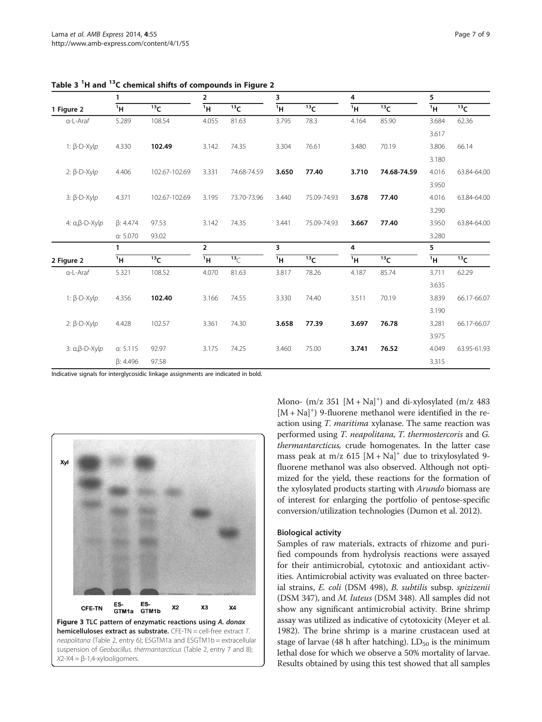|                                  | 1               |                 | $\mathbf{2}$   |                 | $\overline{\mathbf{3}}$ |                 | 4     |                   | 5              |                 |
|----------------------------------|-----------------|-----------------|----------------|-----------------|-------------------------|-----------------|-------|-------------------|----------------|-----------------|
| 1 Figure 2                       | 1H              | 13 <sub>C</sub> | 1H             | 13 <sub>C</sub> | 1H                      | 13 <sub>C</sub> | 1H    | $\overline{13}$ C | 1H             | 13 <sub>C</sub> |
| $a-L-Araf$                       | 5.289           | 108.54          | 4.055          | 81.63           | 3.795                   | 78.3            | 4.164 | 85.90             | 3.684          | 62.36           |
|                                  |                 |                 |                |                 |                         |                 |       |                   | 3.617          |                 |
| 1: $\beta$ -D-Xylp               | 4.330           | 102.49          | 3.142          | 74.35           | 3.304                   | 76.61           | 3.480 | 70.19             | 3.806          | 66.14           |
|                                  |                 |                 |                |                 |                         |                 |       |                   | 3.180          |                 |
| 2: $\beta$ -D-Xylp               | 4.406           | 102.67-102.69   | 3.331          | 74.68-74.59     | 3.650                   | 77.40           | 3.710 | 74.68-74.59       | 4.016          | 63.84-64.00     |
|                                  |                 |                 |                |                 |                         |                 |       |                   | 3.950          |                 |
| 3: β-D-Xyl $p$                   | 4.371           | 102.67-102.69   | 3.195          | 73.70-73.96     | 3.440                   | 75.09-74.93     | 3.678 | 77.40             | 4.016          | 63.84-64.00     |
|                                  |                 |                 |                |                 |                         |                 |       |                   | 3.290          |                 |
| 4: $\alpha$ , $\beta$ -D-Xylp    | $\beta$ : 4.474 | 97.53           | 3.142          | 74.35           | 3.441                   | 75.09-74.93     | 3.667 | 77.40             | 3.950          | 63.84-64.00     |
|                                  | a: 5.070        | 93.02           |                |                 |                         |                 |       |                   | 3.280          |                 |
|                                  | 1               |                 | $\overline{2}$ |                 | 3                       |                 | 4     |                   | 5              |                 |
| 2 Figure 2                       | 1H              | 13 <sub>C</sub> | 1H             | 13 <sub>C</sub> | 1H                      | 13 <sub>C</sub> | 1H    | $\overline{13}C$  | <sup>1</sup> H | 13 <sub>C</sub> |
| $a-L-Araf$                       | 5.321           | 108.52          | 4.070          | 81.63           | 3.817                   | 78.26           | 4.187 | 85.74             | 3.711          | 62.29           |
|                                  |                 |                 |                |                 |                         |                 |       |                   | 3.635          |                 |
| 1: $\beta$ -D-Xylp               | 4.356           | 102.40          | 3.166          | 74.55           | 3.330                   | 74.40           | 3.511 | 70.19             | 3.839          | 66.17-66.07     |
|                                  |                 |                 |                |                 |                         |                 |       |                   | 3.190          |                 |
| 2: $\beta$ -D-Xylp               | 4.428           | 102.57          | 3.361          | 74.30           | 3.658                   | 77.39           | 3.697 | 76.78             | 3.281          | 66.17-66.07     |
|                                  |                 |                 |                |                 |                         |                 |       |                   | 3.975          |                 |
| 3: $\alpha$ , $\beta$ -D-Xyl $p$ | a: 5.115        | 92.97           | 3.175          | 74.25           | 3.460                   | 75.00           | 3.741 | 76.52             | 4.049          | 63.95-61.93     |
|                                  | $\beta$ : 4.496 | 97.58           |                |                 |                         |                 |       |                   | 3.315          |                 |

<span id="page-6-0"></span>Table 3 <sup>1</sup>H and <sup>13</sup>C chemical shifts of compounds in Figure [2](#page-5-0)

Indicative signals for interglycosidic linkage assignments are indicated in bold.



Mono-  $(m/z 351 [M + Na]^+)$  and di-xylosylated  $(m/z 483)$  $[M + Na]^+$ ) 9-fluorene methanol were identified in the reaction using T. maritima xylanase. The same reaction was performed using T. neapolitana, T. thermostercoris and G. thermantarcticus, crude homogenates. In the latter case mass peak at m/z 615  $[M + Na]^+$  due to trixylosylated 9fluorene methanol was also observed. Although not optimized for the yield, these reactions for the formation of the xylosylated products starting with Arundo biomass are of interest for enlarging the portfolio of pentose-specific conversion/utilization technologies (Dumon et al. [2012](#page-8-0)).

#### Biological activity

Samples of raw materials, extracts of rhizome and purified compounds from hydrolysis reactions were assayed for their antimicrobial, cytotoxic and antioxidant activities. Antimicrobial activity was evaluated on three bacterial strains, E. coli (DSM 498), B. subtilis subsp. spizizenii (DSM 347), and M. luteus (DSM 348). All samples did not show any significant antimicrobial activity. Brine shrimp assay was utilized as indicative of cytotoxicity (Meyer et al. [1982](#page-8-0)). The brine shrimp is a marine crustacean used at stage of larvae (48 h after hatching).  $LD_{50}$  is the minimum lethal dose for which we observe a 50% mortality of larvae. Results obtained by using this test showed that all samples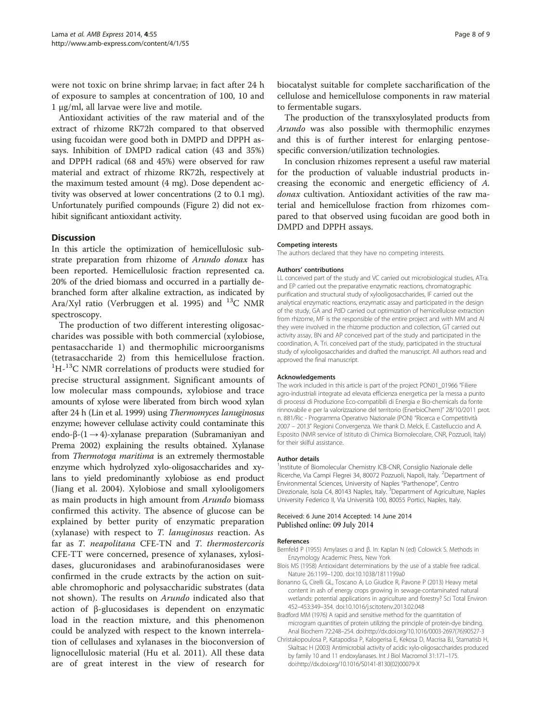<span id="page-7-0"></span>were not toxic on brine shrimp larvae; in fact after 24 h of exposure to samples at concentration of 100, 10 and 1 μg/ml, all larvae were live and motile.

Antioxidant activities of the raw material and of the extract of rhizome RK72h compared to that observed using fucoidan were good both in DMPD and DPPH assays. Inhibition of DMPD radical cation (43 and 35%) and DPPH radical (68 and 45%) were observed for raw material and extract of rhizome RK72h, respectively at the maximum tested amount (4 mg). Dose dependent activity was observed at lower concentrations (2 to 0.1 mg). Unfortunately purified compounds (Figure [2](#page-5-0)) did not exhibit significant antioxidant activity.

#### **Discussion**

In this article the optimization of hemicellulosic substrate preparation from rhizome of Arundo donax has been reported. Hemicellulosic fraction represented ca. 20% of the dried biomass and occurred in a partially debranched form after alkaline extraction, as indicated by Ara/Xyl ratio (Verbruggen et al. [1995\)](#page-8-0) and  $^{13}$ C NMR spectroscopy.

The production of two different interesting oligosaccharides was possible with both commercial (xylobiose, pentasaccharide 1) and thermophilic microorganisms (tetrasaccharide 2) from this hemicellulose fraction. <sup>1</sup>H-<sup>13</sup>C NMR correlations of products were studied for precise structural assignment. Significant amounts of low molecular mass compounds, xylobiose and trace amounts of xylose were liberated from birch wood xylan after 24 h (Lin et al. [1999\)](#page-8-0) using Thermomyces lanuginosus enzyme; however cellulase activity could contaminate this endo-β- $(1 \rightarrow 4)$ -xylanase preparation (Subramaniyan and Prema [2002](#page-8-0)) explaining the results obtained. Xylanase from Thermotoga maritima is an extremely thermostable enzyme which hydrolyzed xylo-oligosaccharides and xylans to yield predominantly xylobiose as end product (Jiang et al. [2004](#page-8-0)). Xylobiose and small xylooligomers as main products in high amount from Arundo biomass confirmed this activity. The absence of glucose can be explained by better purity of enzymatic preparation (xylanase) with respect to T. lanuginosus reaction. As far as T. neapolitana CFE-TN and T. thermostercoris CFE-TT were concerned, presence of xylanases, xylosidases, glucuronidases and arabinofuranosidases were confirmed in the crude extracts by the action on suitable chromophoric and polysaccharidic substrates (data not shown). The results on Arundo indicated also that action of β-glucosidases is dependent on enzymatic load in the reaction mixture, and this phenomenon could be analyzed with respect to the known interrelation of cellulases and xylanases in the bioconversion of lignocellulosic material (Hu et al. [2011](#page-8-0)). All these data are of great interest in the view of research for

biocatalyst suitable for complete saccharification of the cellulose and hemicellulose components in raw material to fermentable sugars.

The production of the transxylosylated products from Arundo was also possible with thermophilic enzymes and this is of further interest for enlarging pentosespecific conversion/utilization technologies.

In conclusion rhizomes represent a useful raw material for the production of valuable industrial products increasing the economic and energetic efficiency of A. donax cultivation. Antioxidant activities of the raw material and hemicellulose fraction from rhizomes compared to that observed using fucoidan are good both in DMPD and DPPH assays.

#### Competing interests

The authors declared that they have no competing interests.

#### Authors' contributions

LL conceived part of the study and VC carried out microbiological studies, ATra. and EP carried out the preparative enzymatic reactions, chromatographic purification and structural study of xylooligosaccharides, IF carried out the analytical enzymatic reactions, enzymatic assay and participated in the design of the study, GA and PdD carried out optimization of hemicellulose extraction from rhizome, MF is the responsible of the entire project and with MM and AI they were involved in the rhizome production and collection, GT carried out activity assay, BN and AP conceived part of the study and participated in the coordination, A. Tri. conceived part of the study, participated in the structural study of xylooligosaccharides and drafted the manuscript. All authors read and approved the final manuscript.

#### Acknowledgements

The work included in this article is part of the project PON01\_01966 "Filiere agro-industriali integrate ad elevata efficienza energetica per la messa a punto di processi di Produzione Eco-compatibili di Energia e Bio-chemicals da fonte rinnovabile e per la valorizzazione del territorio (EnerbioChem)" 28/10/2011 prot. n. 881/Ric - Programma Operativo Nazionale (PON) "Ricerca e Competitività 2007 – 2013" Regioni Convergenza. We thank D. Melck, E. Castelluccio and A. Esposito (NMR service of Istituto di Chimica Biomolecolare, CNR, Pozzuoli, Italy) for their skilful assistance.

#### Author details

<sup>1</sup>Institute of Biomolecular Chemistry ICB-CNR, Consiglio Nazionale delle Ricerche, Via Campi Flegrei 34, 80072 Pozzuoli, Napoli, Italy. <sup>2</sup>Department of Environmental Sciences, University of Naples "Parthenope", Centro Direzionale, Isola C4, 80143 Naples, Italy. <sup>3</sup>Department of Agriculture, Naples University Federico II, Via Università 100, 80055 Portici, Naples, Italy.

#### Received: 6 June 2014 Accepted: 14 June 2014 Published online: 09 July 2014

#### References

- Bernfeld P (1955) Amylases α and β. In: Kaplan N (ed) Colowick S. Methods in Enzymology Academic Press, New York
- Blois MS (1958) Antioxidant determinations by the use of a stable free radical. Nature 26:1199–1200. doi:10.1038/1811199a0
- Bonanno G, Cirelli GL, Toscano A, Lo Giudice R, Pavone P (2013) Heavy metal content in ash of energy crops growing in sewage-contaminated natural wetlands: potential applications in agriculture and forestry? Sci Total Environ 452–453:349–354. doi:10.1016/j.scitotenv.2013.02.048
- Bradford MM (1976) A rapid and sensitive method for the quantitation of microgram quantities of protein utilizing the principle of protein-dye binding. Anal Biochem 72:248–254. doi:http://dx.doi.org/10.1016/0003-2697(76)90527-3
- Christakopoulosa P, Katapodisa P, Kalogerisa E, Kekosa D, Macrisa BJ, Stamatisb H, Skaltsac H (2003) Antimicrobial activity of acidic xylo-oligosaccharides produced by family 10 and 11 endoxylanases. Int J Biol Macromol 31:171–175. doi:http://dx.doi.org/10.1016/S0141-8130(02)00079-X